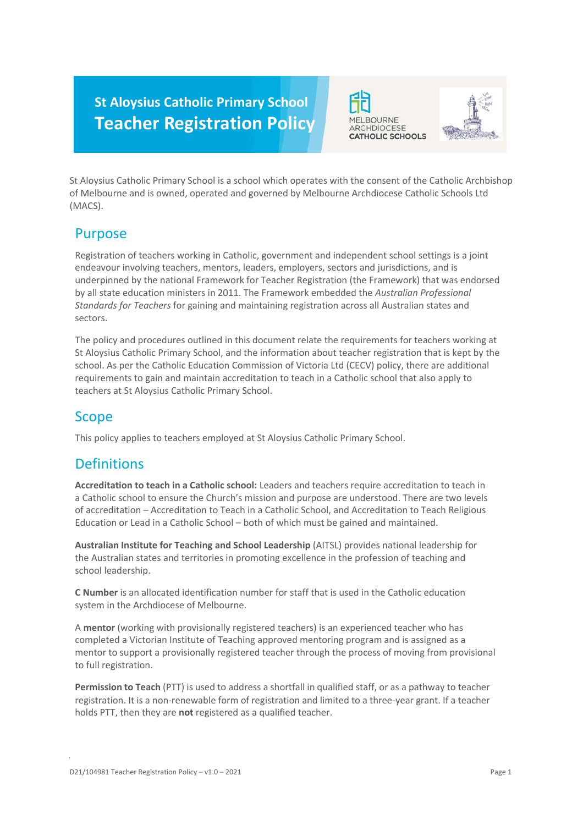# **St Aloysius Catholic Primary School Teacher Registration Policy**





St Aloysius Catholic Primary School is a school which operates with the consent of the Catholic Archbishop of Melbourne and is owned, operated and governed by Melbourne Archdiocese Catholic Schools Ltd (MACS).

### Purpose

Registration of teachers working in Catholic, government and independent school settings is a joint endeavour involving teachers, mentors, leaders, employers, sectors and jurisdictions, and is underpinned by the national Framework for Teacher Registration (the Framework) that was endorsed by all state education ministers in 2011. The Framework embedded the *Australian Professional Standards for Teachers* for gaining and maintaining registration across all Australian states and sectors.

The policy and procedures outlined in this document relate the requirements for teachers working at St Aloysius Catholic Primary School, and the information about teacher registration that is kept by the school. As per the Catholic Education Commission of Victoria Ltd (CECV) policy, there are additional requirements to gain and maintain accreditation to teach in a Catholic school that also apply to teachers at St Aloysius Catholic Primary School.

# Scope

This policy applies to teachers employed at St Aloysius Catholic Primary School.

# **Definitions**

**Accreditation to teach in a Catholic school:** Leaders and teachers require accreditation to teach in a Catholic school to ensure the Church's mission and purpose are understood. There are two levels of accreditation – Accreditation to Teach in a Catholic School, and Accreditation to Teach Religious Education or Lead in a Catholic School – both of which must be gained and maintained.

**Australian Institute for Teaching and School Leadership** (AITSL) provides national leadership for the Australian states and territories in promoting excellence in the profession of teaching and school leadership.

**C Number** is an allocated identification number for staff that is used in the Catholic education system in the Archdiocese of Melbourne.

A **mentor** (working with provisionally registered teachers) is an experienced teacher who has completed a Victorian Institute of Teaching approved mentoring program and is assigned as a mentor to support a provisionally registered teacher through the process of moving from provisional to full registration.

**Permission to Teach** (PTT) is used to address a shortfall in qualified staff, or as a pathway to teacher registration. It is a non-renewable form of registration and limited to a three-year grant. If a teacher holds PTT, then they are **not** registered as a qualified teacher.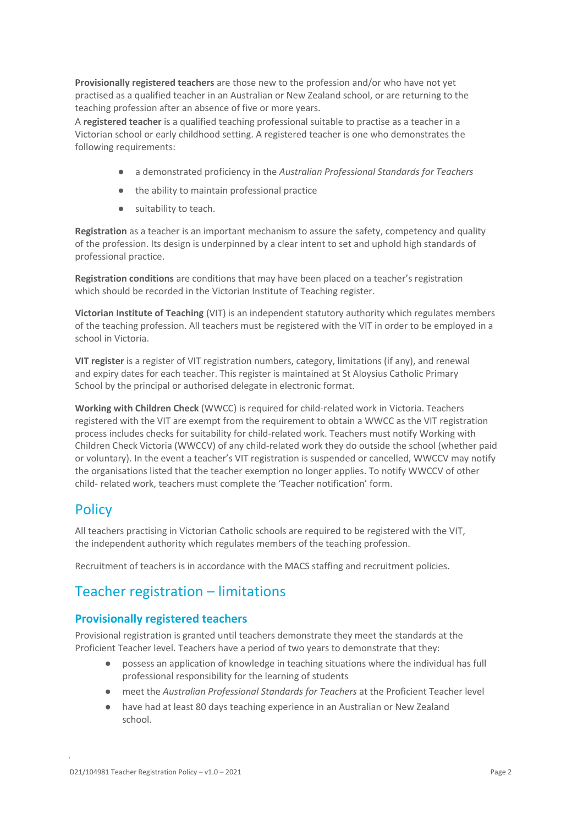**Provisionally registered teachers** are those new to the profession and/or who have not yet practised as a qualified teacher in an Australian or New Zealand school, or are returning to the teaching profession after an absence of five or more years.

A **registered teacher** is a qualified teaching professional suitable to practise as a teacher in a Victorian school or early childhood setting. A registered teacher is one who demonstrates the following requirements:

- a demonstrated proficiency in the *Australian Professional Standards for Teachers*
- the ability to maintain professional practice
- suitability to teach.

**Registration** as a teacher is an important mechanism to assure the safety, competency and quality of the profession. Its design is underpinned by a clear intent to set and uphold high standards of professional practice.

**Registration conditions** are conditions that may have been placed on a teacher's registration which should be recorded in the Victorian Institute of Teaching register.

**Victorian Institute of Teaching** (VIT) is an independent statutory authority which regulates members of the teaching profession. All teachers must be registered with the VIT in order to be employed in a school in Victoria.

**VIT register** is a register of VIT registration numbers, category, limitations (if any), and renewal and expiry dates for each teacher. This register is maintained at St Aloysius Catholic Primary School by the principal or authorised delegate in electronic format.

**Working with Children Check** (WWCC) is required for child-related work in Victoria. Teachers registered with the VIT are exempt from the requirement to obtain a WWCC as the VIT registration process includes checks for suitability for child-related work. Teachers must notify Working with Children Check Victoria (WWCCV) of any child-related work they do outside the school (whether paid or voluntary). In the event a teacher's VIT registration is suspended or cancelled, WWCCV may notify the organisations listed that the teacher exemption no longer applies. To notify WWCCV of other child- related work, teachers must complete the 'Teacher notification' form.

# **Policy**

All teachers practising in Victorian Catholic schools are required to be registered with the VIT, the independent authority which regulates members of the teaching profession.

Recruitment of teachers is in accordance with the MACS staffing and recruitment policies.

# Teacher registration – limitations

### **Provisionally registered teachers**

Provisional registration is granted until teachers demonstrate they meet the standards at the Proficient Teacher level. Teachers have a period of two years to demonstrate that they:

- possess an application of knowledge in teaching situations where the individual has full professional responsibility for the learning of students
- meet the *Australian Professional Standards for Teachers* at the Proficient Teacher level
- have had at least 80 days teaching experience in an Australian or New Zealand school.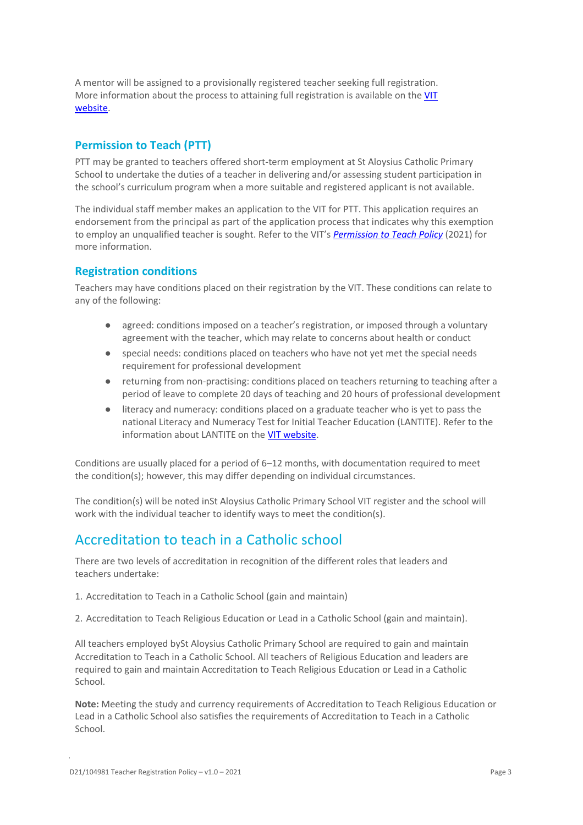A mentor will be assigned to a provisionally registered teacher seeking full registration. More information about the process to attaining full registration is available on the [VIT](https://www.vit.vic.edu.au/registered-teacher/moving-to-full-registration)  [website.](https://www.vit.vic.edu.au/registered-teacher/moving-to-full-registration)

#### **Permission to Teach (PTT)**

PTT may be granted to teachers offered short-term employment at St Aloysius Catholic Primary School to undertake the duties of a teacher in delivering and/or assessing student participation in the school's curriculum program when a more suitable and registered applicant is not available.

The individual staff member makes an application to the VIT for PTT. This application requires an endorsement from the principal as part of the application process that indicates why this exemption to employ an unqualified teacher is sought. Refer to the VIT's *[Permission to Teach Policy](https://www.vit.vic.edu.au/sites/default/files/media/pdf/2022-04/Policy_VIT_PTT.pdf)* (2021) for more information.

#### **Registration conditions**

Teachers may have conditions placed on their registration by the VIT. These conditions can relate to any of the following:

- agreed: conditions imposed on a teacher's registration, or imposed through a voluntary agreement with the teacher, which may relate to concerns about health or conduct
- special needs: conditions placed on teachers who have not yet met the special needs requirement for professional development
- returning from non-practising: conditions placed on teachers returning to teaching after a period of leave to complete 20 days of teaching and 20 hours of professional development
- literacy and numeracy: conditions placed on a graduate teacher who is yet to pass the national Literacy and Numeracy Test for Initial Teacher Education (LANTITE). Refer to the information about LANTITE on the [VIT website.](https://www.vit.vic.edu.au/contact-us/faqs/LANTITE)

Conditions are usually placed for a period of 6–12 months, with documentation required to meet the condition(s); however, this may differ depending on individual circumstances.

The condition(s) will be noted inSt Aloysius Catholic Primary School VIT register and the school will work with the individual teacher to identify ways to meet the condition(s).

### Accreditation to teach in a Catholic school

There are two levels of accreditation in recognition of the different roles that leaders and teachers undertake:

- 1. Accreditation to Teach in a Catholic School (gain and maintain)
- 2. Accreditation to Teach Religious Education or Lead in a Catholic School (gain and maintain).

All teachers employed bySt Aloysius Catholic Primary School are required to gain and maintain Accreditation to Teach in a Catholic School. All teachers of Religious Education and leaders are required to gain and maintain Accreditation to Teach Religious Education or Lead in a Catholic School.

**Note:** Meeting the study and currency requirements of Accreditation to Teach Religious Education or Lead in a Catholic School also satisfies the requirements of Accreditation to Teach in a Catholic School.